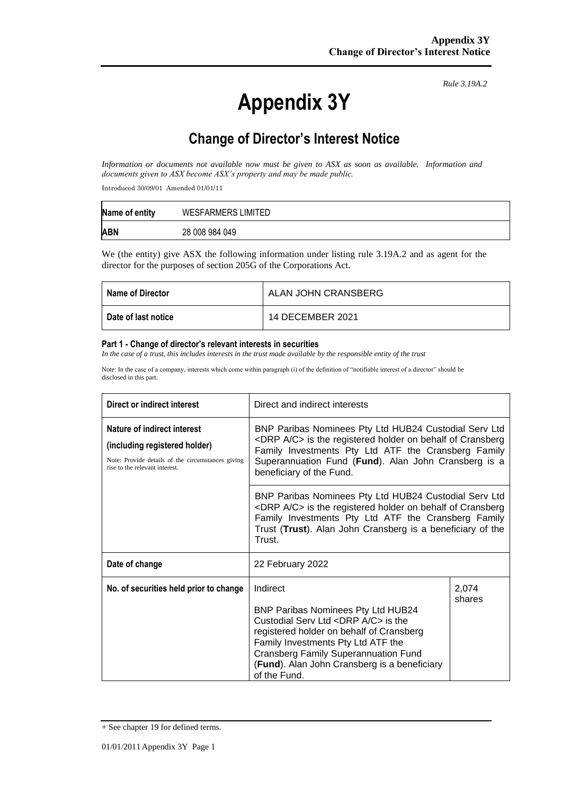# **Appendix 3Y**

*Rule 3.19A.2*

# **Change of Director's Interest Notice**

*Information or documents not available now must be given to ASX as soon as available. Information and documents given to ASX become ASX's property and may be made public.*

Introduced 30/09/01 Amended 01/01/11

| Name of entity | <b>WESFARMERS LIMITED</b> |
|----------------|---------------------------|
| <b>ABN</b>     | 28 008 984 049            |

We (the entity) give ASX the following information under listing rule 3.19A.2 and as agent for the director for the purposes of section 205G of the Corporations Act.

| Name of Director    | ALAN JOHN CRANSBERG |
|---------------------|---------------------|
| Date of last notice | 14 DECEMBER 2021    |

#### **Part 1 - Change of director's relevant interests in securities**

*In the case of a trust, this includes interests in the trust made available by the responsible entity of the trust*

Note: In the case of a company, interests which come within paragraph (i) of the definition of "notifiable interest of a director" should be disclosed in this part.

| Direct or indirect interest                                                                                                                         | Direct and indirect interests                                                                                                                                                                                                                                                                                  |                 |  |
|-----------------------------------------------------------------------------------------------------------------------------------------------------|----------------------------------------------------------------------------------------------------------------------------------------------------------------------------------------------------------------------------------------------------------------------------------------------------------------|-----------------|--|
| Nature of indirect interest<br>(including registered holder)<br>Note: Provide details of the circumstances giving<br>rise to the relevant interest. | BNP Paribas Nominees Pty Ltd HUB24 Custodial Serv Ltd<br><drp a="" c=""> is the registered holder on behalf of Cransberg<br/>Family Investments Pty Ltd ATF the Cransberg Family<br/>Superannuation Fund (Fund). Alan John Cransberg is a<br/>beneficiary of the Fund.</drp>                                   |                 |  |
|                                                                                                                                                     | BNP Paribas Nominees Pty Ltd HUB24 Custodial Serv Ltd<br><drp a="" c=""> is the registered holder on behalf of Cransberg<br/>Family Investments Pty Ltd ATF the Cransberg Family<br/>Trust (Trust). Alan John Cransberg is a beneficiary of the<br/>Trust.</drp>                                               |                 |  |
| Date of change                                                                                                                                      | 22 February 2022                                                                                                                                                                                                                                                                                               |                 |  |
| No. of securities held prior to change                                                                                                              | Indirect<br><b>BNP Paribas Nominees Pty Ltd HUB24</b><br>Custodial Serv Ltd <drp a="" c=""> is the<br/>registered holder on behalf of Cransberg<br/>Family Investments Pty Ltd ATF the<br/><b>Cransberg Family Superannuation Fund</b><br/>(Fund). Alan John Cransberg is a beneficiary<br/>of the Fund.</drp> | 2,074<br>shares |  |

<sup>+</sup> See chapter 19 for defined terms.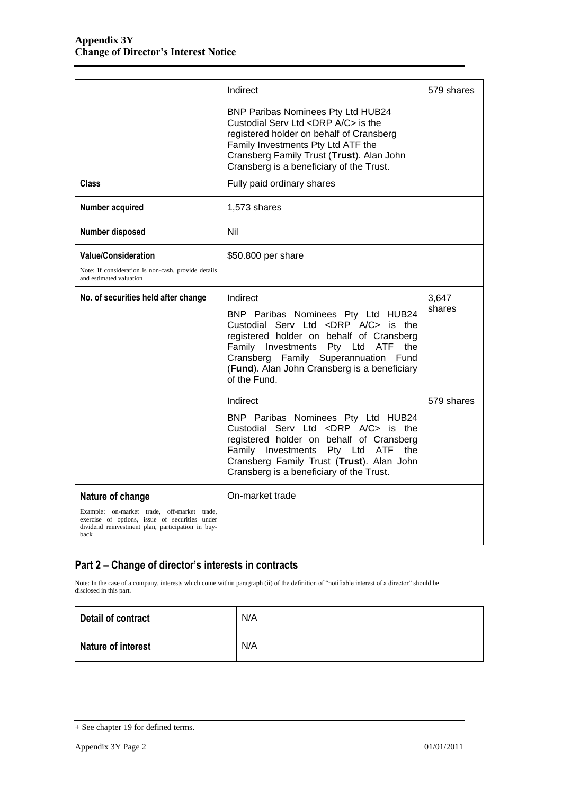|                                                                                                                                                            | Indirect                                                                                                                                                                                                                                                                                 | 579 shares |
|------------------------------------------------------------------------------------------------------------------------------------------------------------|------------------------------------------------------------------------------------------------------------------------------------------------------------------------------------------------------------------------------------------------------------------------------------------|------------|
|                                                                                                                                                            | <b>BNP Paribas Nominees Pty Ltd HUB24</b><br>Custodial Serv Ltd <drp a="" c=""> is the<br/>registered holder on behalf of Cransberg<br/>Family Investments Pty Ltd ATF the<br/>Cransberg Family Trust (Trust). Alan John<br/>Cransberg is a beneficiary of the Trust.</drp>              |            |
| Class                                                                                                                                                      | Fully paid ordinary shares                                                                                                                                                                                                                                                               |            |
| Number acquired                                                                                                                                            | 1,573 shares                                                                                                                                                                                                                                                                             |            |
| Number disposed                                                                                                                                            | Nil                                                                                                                                                                                                                                                                                      |            |
| <b>Value/Consideration</b>                                                                                                                                 | \$50.800 per share                                                                                                                                                                                                                                                                       |            |
| Note: If consideration is non-cash, provide details<br>and estimated valuation                                                                             |                                                                                                                                                                                                                                                                                          |            |
| No. of securities held after change                                                                                                                        | Indirect                                                                                                                                                                                                                                                                                 | 3.647      |
|                                                                                                                                                            | BNP Paribas Nominees Pty Ltd HUB24<br>Custodial Serv Ltd <drp a="" c=""> is the<br/>registered holder on behalf of Cransberg<br/>Family Investments Pty Ltd ATF<br/>the<br/>Cransberg Family Superannuation Fund<br/>(Fund). Alan John Cransberg is a beneficiary<br/>of the Fund.</drp> | shares     |
|                                                                                                                                                            | Indirect                                                                                                                                                                                                                                                                                 | 579 shares |
|                                                                                                                                                            | BNP Paribas Nominees Pty Ltd HUB24<br>Custodial Serv Ltd <drp a="" c=""> is the<br/>registered holder on behalf of Cransberg<br/>Family Investments Pty Ltd ATF<br/>the<br/>Cransberg Family Trust (Trust). Alan John<br/>Cransberg is a beneficiary of the Trust.</drp>                 |            |
| Nature of change                                                                                                                                           | On-market trade                                                                                                                                                                                                                                                                          |            |
| Example: on-market trade, off-market trade,<br>exercise of options, issue of securities under<br>dividend reinvestment plan, participation in buy-<br>back |                                                                                                                                                                                                                                                                                          |            |

### **Part 2 – Change of director's interests in contracts**

Note: In the case of a company, interests which come within paragraph (ii) of the definition of "notifiable interest of a director" should be disclosed in this part.

| Detail of contract        | N/A |
|---------------------------|-----|
| <b>Nature of interest</b> | N/A |

<sup>+</sup> See chapter 19 for defined terms.